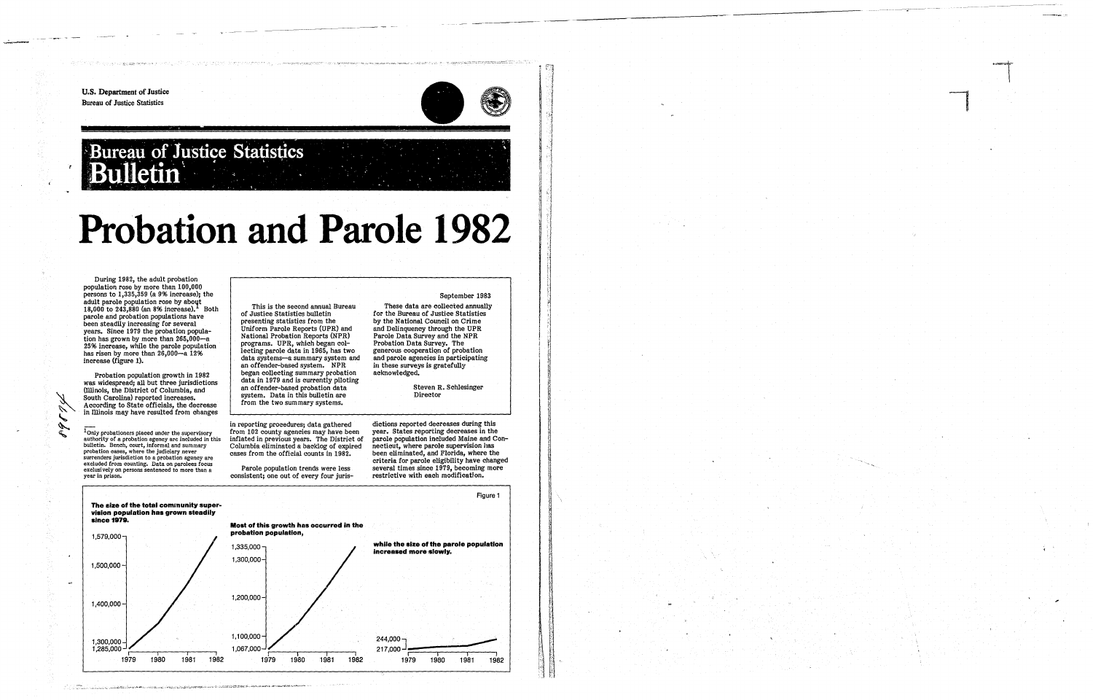*t* 

Í

U.S. Department of Justice Bureau of Justice Statistics

SERVICE TO SHARK DISPLAY TO THE TABLE TO CAPE ME

=



# Bureau of Justice Statistics

-~---------- - --

## **Probation and Parole 1982**

During 1982, the adult probation population rose by more than 100,000 persons to 1,335,359 (a 9% increase); the adult parole population rose by about 18,000 to 243,880 (an 8% increase).<sup>1</sup> Both parole and probation populations have been steadily increasing for several years. Since 1979 the probation population has grown by more than 265,000-a 25% increase, while the parole population has risen by more than 26,000-a 12% increase (figure 1).

 $^{\mathsf{I}}$ Only probationers placed under the supervisory<br>authority of a probation agency are included in this<br>bulletin. Bench, court, informal and summary probation cases, where the judiciary never excluded from counting. Data on parolees focus exclusi vely on persons sentenced to more than a year in prison.

Probation population growth in 1982 was widespread; all but three jurisdictions (lllinois, the District of Columbia, and South Carolina) reported increases. According to State officials, the decrease in lllinois may have resulted from changes

> dictions reported decreases during this year. States reporting decreases in the parole population included Maine and Connecticut, where parole supervision has been eliminated, and Florida, where the criteria for parole eligibility have changed restrictive with each modification.

This is the second annual Bureau of Justice Statistics bulletin presenting statistics from the Uniform Parole Reports (UPR) and National Probation Reports (NPR) programs. UPR, which began collecting parole data in 1965, has two data systems-a summary system and an offender-based system. NPR began collecting summary probation data in 1979 and is currently piloting an offender-based probation data system. Data in this bulletin are from the two summary systems.

in reporting procedures; data gathered from 102 county agencies may have been inflated in previous years. The District of Columbia eliminated a backlog of expired cases from the official counts in 1982.

Parole population trends were less consistent; one out of every four juris-

#### September 1983

These data are collected annually for the Bureau of Justice Statistics by the National Council on Crime and Delinquency through the UPR Parole Data Survey and the NPR Probation Data Survey. The generous cooperation of probation and parole agencies in participating in these surveys is gratefully acknowledged.

> Steven R. Schlesinger Director

Figure 1 The size of the total community supervision population has grown steadily since 1979. Most of this growth has occurred in the probation population, 1,579,000 while the size of the parole population 1,335,000 increased more-slowly. 1,300,000 1,500,000  $\omega t$ 1,200,000 1,400,000  $244,000 -$ 1,100,000 1,300,000  $\frac{1}{\sqrt{2}}$ ,<br>र  $\frac{1}{\sqrt{2}}$ 1,067,000 1,285,000 ,  $217,000 - \frac{1}{1979}$ ~-~::::::::::::::=~ I I I  $\frac{1}{1981}$  1982 1982 1980 1979 1980 1981 1979 1979 1980 1981 1982

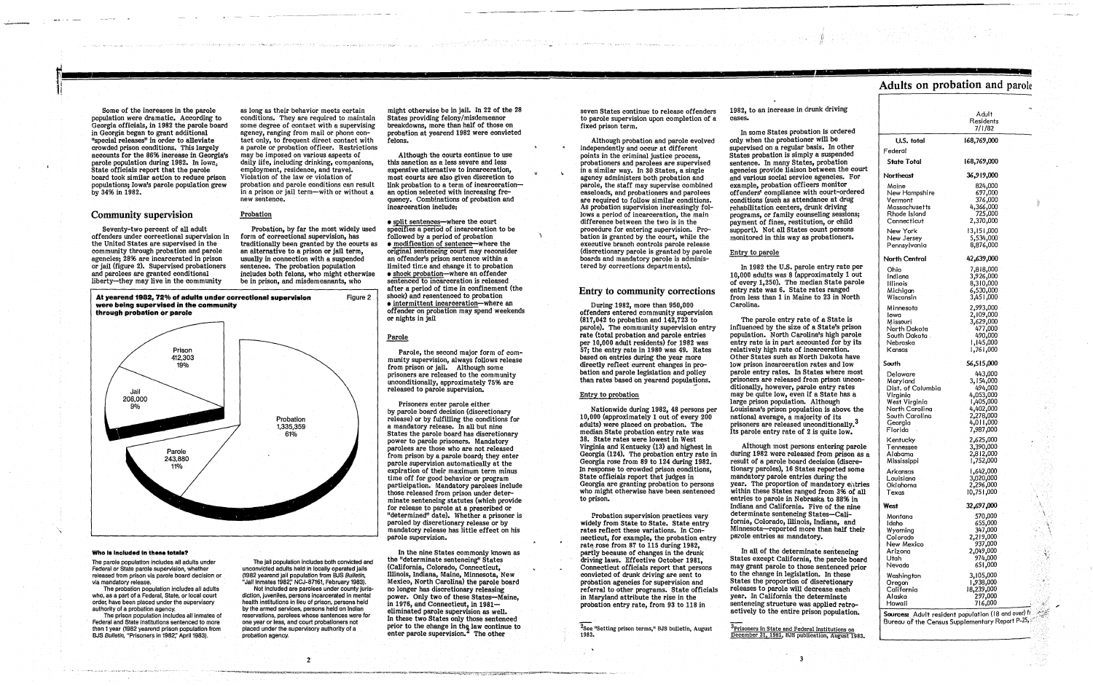.,

Some of the increases in the parole population were dramatic. According to Georgia officials, in 1982 the parole board in Georgia began to grant additional "special releases" in order to alleviate crowded prison conditions. This largely accounts for the 86% increase in Georgia's parole population during 1982. In iowa; State officials report that the parole board took similar action to reduce prison populations; Iowa's parole population grew by 3496 in 1982.

#### Community supervision

Seventy-two percent of all adult offenders under correctional supervision in the United States are supervised in the community through probation and parole<br>agencies; 28% are incarcerated in prison or jail (figure 2). Supervised probationers and parolees are granted conditional liberty-they may live in the community

as long as their behavior meets certain<br>conditions. They are required to maintain some degree of contact with a supervising<br>agency, ranging from mail or phone contact only, to frequent direct contact with a parole or probation officer. Restrictions may be imposed on various aspects of daily life, including drinking, companions, employment, residence, and travel. Violation of the law or violation of probation and parole conditions can result in a prison or jail term-with or without a new sentence.

The parole population includes all adults under Federal or State parole supervision, whether released from prison via parole board decision or via mandatory release.

The probation population Includes all adults who, as a part of a Federal, State, or local court order, have been placed under the supervisory authority of a probation agency.

The prison population includes all inmates of Federal and State Institutions sentenced to more than 1 year (1982 yearend prison population from BJS Bulletin, "Prisoners in 1982;' April 1983).

The jail population includes both convicted and un convicted adults held In locally operated jails (1982 yearend jail population from BJS Bulletin, "Jail Inmates 1982;' NCJ-87161, February 1983).

#### Probation

Probation, by far the most widely used form of correctional supervision, has<br>traditionally been granted by the courts as an alternative to a prison or jail term, usually in connection with a suspended sentence. The probation population includes both felons, who might otherwise be in prison, and misdemeanants, who

At yearend 1982, 72% of adults under correctional supervision

• split sentences-where the court specifies a period of incarceration to be<br>followed by a period of probation  $\bullet$  modification of sentence-where the original sentencing court may reconsider an offender's prison sentence within a limited time and change it to probation • shock probation-where an offender sentenced to incarceration is released after a period of time in confinement (the shock) and resentenced to probation<br>• intermittent incarceration—where an offender on probation may spend weekends or nights in jail

#### Parole

Figure 2



#### Who is included in these totals?

Parole, the second major form of com-<br>munity supervision, always follows release<br>from prison or jail. Although some prisoners are released to the community unconditionally, approximately 7596 are released to parole supervision.

In the nine States commonly known as the "determinate sentencing" States (California, Colorado, Connecticut, Illinois, Indiana, Maine, Minnesota, New no longer has discretionary releasing power. Only two of these States-Maine, in 1976, and Connecticut, in  $1981$ eliminated parole supervision as well. In these two States only those sentenced prior to the change in the law continue to enter parole supervision. $<sup>2</sup>$  The other</sup>

Not included are parolees under county jurisdiction, juveniles, persons incarcerated in mental health institutions in lieu of prison, persons held by the armed services, persons held on Indian reservations, parolees whose sentences were for one year or less, and court probationers not placed under the supervisory authority of a probation agency.

2

might otherwise be in jail. In 22 of the 28 States providing felony/misdemeanor probation at yearend 1982 were convicted felons.

> During 1982, more than 950,000 offenders entered community supervision (817,042 to probation and 142,723 to parole). The community supervision entry rate (total probation and parole entries<br>per 10,000 adult residents) for 1982 was 57; the entry rate in 1980 was 49. Rates<br>based on entries during the year more directly reflect current changes in probation and parole legislation and policy than rates based on yearend populations.

Although the courts continue to use this sanction as a. less severe and less expensive alternative to incarceration, most courts are also given discretion to<br>link probation to a term of incarcerationan option selected with increasing frequency. Combinations of probation and incarceration include:

Prisoners enter parole either by parole board decision (discretionary release) or by fulfilling the conditions for a mandatory release. In all but nine States the parole board has discretionary power to parole prisoners. Mandatory parolees are those who are not released from prison by a parole board; they enter parole supervision automatically at the expiration of their maximum term minus time off for good behavior or program participation. Mandatory parolees include those released from prison under determinate sentencing statutes (which provide<br>for release to parole at a prescribed or "determined" date). Whether a prisoner is paroled by discretionary release or by mandatory release has little effect on his parole supervision.

seven States continue to release offenders to parole supervision upon completion of a fixed prison term.

> $\rm\,$  $\mathbb{R}^2$ \:

Although probation and parole evolved independently and occur at different points in the criminal justice process, probationers and parolees are supervised in a similar way. In 30 States, a single agency administers both probation and parole, the staff may supervise combined are required to follow similar conditions. As probation supervision increasingly follows a period of incarceration, the main difference between the two is in the procedure for entering supervision. Pro-· bation is granted by the court, while the executive branch controls parole release (discretionary parole is grantad by parole boards and mandatory parole is administered by corrections departments).

#### Entry to community corrections

#### Entry to probation

Nationwide during 1982, 48 persons per 10,000 (approximately 1 out of every 200 adults) were placed on probation. The 38. State rates were lowest in West Virginia and Kentucky (13) and highest in Georgia (124). The probation entry rate in Georgia rose from 89 to 124 during 1982. In response to crowded prison conditions, State officials report that judges in Georgia are granting probation to persons who might otherwise have been sentenced to prison.

Probation supervision practices vary widely from State to State. State entry rates reflect these variations. In Connecticut, for example, the probation entry rate rose from 87 to 115 during 1982, partly because of changes in the drunk driving laws. Effective October 1981, Connecticut officials report that persons convicted of drunk driving are sent to probation agencies for supervision and referral to other programs. State officials in Maryland attribute the rise in the probation entry rate, from 93 to 118 in

<sup>2</sup>See "Setting prison terms," BJS bulletin, August<br>1983.

1982, to an increase in drunk driving cases.

In some States probation is ordered only when the probationer will be supervised on a regular basis. In other States probation is simply a suspended sentence. In many States, probation agencies provide liaison between the court and various social service agencies. For example, probation officers monitor offenders' compliance with court-ordered conditions (such as attendance at drug rehabilitation centers, drunk driving programs, or family counseling sessions; payment of fines, restitution, or child support). Not all States count persons monitored in this way as probationers.

#### Entry to parole

In 1982 the U.S. parole entry rate per 10,000 adults was 8 (approximately 1 out of every 1,250). The median State parole entry rate was 6. State rates ranged from less than 1 in Maine to 23 in North Carolina.

The parole entry rate of a State is influenced by the size of a State's prison population. North Carolina's high parole entry rate is in part accounted for by its relatively high rate of incarceration. Other States such as North Dakota have low prison incarceration rates and low parole entry rates. In States where most ditionally, however, parole entry rates may be quite low, even if a State has a large prison population. Although Louisiana's prison population is above the national average, a majority of its prisoners are released unconditionally.<sup>3</sup> Its parole entry rate of 2 is quite low.

Although most persons entering parole<br>during 1982 were released from prison as a result of a parole board decision (discretionary paroles), 16 States reported some mandatory parole entries during the year. The proportion of mandatory entries within these States ranged from 3% of all entries to parole in Nebraska to 88% in Indiana and California. Five of the nine determinate sentencing States-California, Colorado, Illinois, Indiana, and Minnesota-reported more than half their parole entries as mandatory.

In all of the determinate sentencing States except California, the parole board may grant parole to those sentenced prior to the change in legislation. In these States the proportion of discretionary releases to parole will decrease each year. In California the determinate sentencing structure was applied retroactively to the entire prison population.

 $^3$ Prisoners in State and Federal Institutions on December 31, 1981, BJS publication, August 1983.

3

### Adults on probation and parole

|                                                                                                                                                                                                                                   | Adult<br>Residents<br>7/1/82                                                                                                                                                                                           |    |
|-----------------------------------------------------------------------------------------------------------------------------------------------------------------------------------------------------------------------------------|------------------------------------------------------------------------------------------------------------------------------------------------------------------------------------------------------------------------|----|
| U.S. total                                                                                                                                                                                                                        | 168,769,000                                                                                                                                                                                                            |    |
| Federal                                                                                                                                                                                                                           |                                                                                                                                                                                                                        |    |
| <b>State Total</b>                                                                                                                                                                                                                | 168,769,000                                                                                                                                                                                                            |    |
| Northeast                                                                                                                                                                                                                         | 36,919,000                                                                                                                                                                                                             |    |
| Maine<br>New Hampshire<br>Vermont<br>Massachusetts<br>Rhode Island<br>Connecticut                                                                                                                                                 | 824,000<br>697,000<br>376,000<br>4,366,000<br>725,000<br>2,370,000                                                                                                                                                     | )) |
| New York<br>New Jersey<br>Pennsylvania                                                                                                                                                                                            | 13,151,000<br>5,534,000<br>8,876,000                                                                                                                                                                                   |    |
| North Central                                                                                                                                                                                                                     | 42,639,000                                                                                                                                                                                                             |    |
| Ohio<br>Indiana<br>lilinois<br>Michigan<br>Wisconsin                                                                                                                                                                              | 7,818,000<br>3,926,000<br>8,310,000<br>6,530,000<br>3,451,000                                                                                                                                                          |    |
| Minnesota<br>lowa<br>Missouri<br>North Dakota<br>South Dakota .<br>Nebraska<br>Kansas                                                                                                                                             | 2,993,000<br>2,109,000<br>3,629,000<br>477,000<br>490,000<br>1,145,000<br>1,761,000                                                                                                                                    |    |
| South                                                                                                                                                                                                                             | 56,515,000                                                                                                                                                                                                             |    |
| Delaware<br>Maryland<br>Dist. of Columbia<br>Virginia<br>West Virginia<br>North Carolina<br>South Carolina<br>Georgia<br>Florida<br>Kentucky<br>Tennessee<br>Alabama<br>Mississippi<br>Arkansas<br>Louisiana<br>Oklahoma<br>Texas | 443,000<br>3,154,000<br>494,000<br>4,053,000<br>1,405,000<br>4,402,000<br>2,278,000<br>4,011,000<br>7,987,000<br>2,625,000<br>3,390,000<br>2,812,000<br>1,752,000<br>1,642,000<br>3,020,000<br>2,296,000<br>10,751,000 |    |
| West                                                                                                                                                                                                                              | 32,697,000                                                                                                                                                                                                             |    |
| Montana<br>Idaho<br>Wyoming<br>Colorado<br>New Mexico<br>Arizona<br>Utah<br>Nevada                                                                                                                                                | 570,000<br>655,000<br>347,000<br>2,219,000<br>937,000<br>2,049,000<br>974,000<br>651,000                                                                                                                               |    |
| Washington<br>Oregon<br>California<br>Alaska<br>Hawaii<br>Sourcess Adult resident population (18 and over) fr                                                                                                                     | 3,105,000<br>938,000, ا<br>18,239,000<br>297,000<br>716,000                                                                                                                                                            |    |

Bureau of the Census Supplementary Report P-25,

" 1 ' /'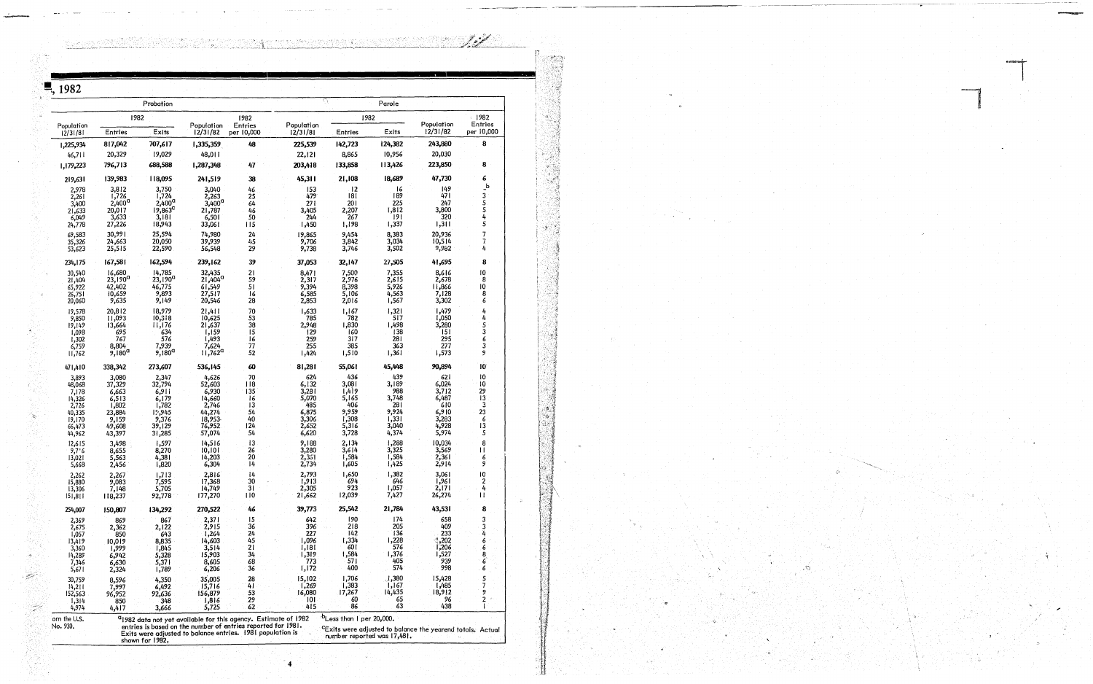<u>Kasan Mari</u>ki

| ै, 1982                         |                                      |                                        |                                    |                                                                            |                           |                                  |                                |                                                                        |                            |
|---------------------------------|--------------------------------------|----------------------------------------|------------------------------------|----------------------------------------------------------------------------|---------------------------|----------------------------------|--------------------------------|------------------------------------------------------------------------|----------------------------|
|                                 |                                      | Probation                              |                                    |                                                                            |                           |                                  | Parole                         |                                                                        |                            |
| Population                      |                                      | 1982                                   | Population                         | 1982                                                                       | Population                |                                  | 1982                           | Population                                                             | 1982<br>Entries            |
| 12/31/81                        | Entries                              | Exits                                  | 12/31/82                           | Entries<br>per 10,000                                                      | 12/31/81                  | <b>Entries</b>                   | Exits                          | 12/31/82                                                               | per 10,000                 |
| 1,225,934<br>46,711             | 817,042<br>20,329                    | 707,617<br>19,029                      | 1,335,359<br>48,011                | 48                                                                         | 225,539<br>22,121         | 142,723<br>8,865                 | 124,382<br>10,956              | 243,880<br>20,030                                                      |                            |
| 1,179,223                       | 796,713                              | 688,588                                | 1,287,348                          | 47                                                                         | 203,418                   | 133,858                          | 113,426                        | 223,850                                                                | 8                          |
| 219,631                         | 139,983                              | 118,095                                | 241,519                            | 38 <sub>1</sub>                                                            | 45,311                    | 21,108                           | 18,689                         | 47,730                                                                 |                            |
| 2,978<br>2,261                  | 3,812<br>1,726                       | 3,750<br>1,724                         | 3,040<br>2,263                     | 46<br>25                                                                   | 153<br>479                | $ 2\rangle$<br>181               | 16<br> 89                      | 149<br>471                                                             | $\mathbf{b}$<br>-3         |
| 3,400<br>$\frac{21,633}{6,049}$ | $2,400^{\circ}$<br>20,017<br>3,633   | $2,400^{\circ}$<br>$19,863^c$<br>3,181 | $3,400^{\circ}$<br>21,787<br>6,501 | $64\,$<br>46<br>50                                                         | 271<br>3,405<br>244       | 201<br>2,207<br>- 267            | 225<br>1,812<br>191            | 247<br>3,800<br>320                                                    |                            |
| 24,778                          | 27,226                               | 18,943                                 | 33,061                             | 115                                                                        | 1,450                     | 1,198                            | 1,337                          | 1,311                                                                  | -5                         |
| 69,583<br>35,326<br>53,623      | 30,991<br>24,663<br>25,515           | 25,594<br>20,050                       | 74,980<br>39,939                   | 24 <sup>°</sup><br>45                                                      | 19,865<br>9,706           | 9,454<br>3,842                   | 8,383<br>3,034                 | 20,936<br>10,514                                                       | -7<br>$\overline{u}$       |
| 234,175                         | 167,581                              | 22,590<br>162,594                      | 56,548<br>239,162                  | 29<br>39                                                                   | 9,738<br>37,053           | 3,746<br>32,147                  | 3,502<br>27,505                | 9,982<br>41,695                                                        | -8                         |
| 30,540<br>21,404                | 16,680                               | 14,785                                 | 32,435<br>21,404 <sup>a</sup>      | 21                                                                         | 8,471                     | 7,500<br>2,976                   | 7,355<br>2,615                 | 8,616                                                                  | 10                         |
| 65,922<br>26,751                | $23,190^{\circ}$<br>42,402<br>10,659 | $23,190^{\circ}$<br>46,775<br>9,893    | 61,549<br>27,517                   | 59<br>51<br>16                                                             | 2,317<br>9,394<br>6,585   | 8,398<br>5,106                   | 5,926<br>4,563                 | 2,678<br>11,866<br>7,128                                               | - 8<br>10 <sup>°</sup>     |
| 20,060                          | 9,635                                | 9,149                                  | 20,546                             | 28                                                                         | 2,853                     | 2,016                            | 1,567                          | 3,302                                                                  |                            |
| 19,578<br>9,850                 | 20,812<br>11,093<br>13,664           | 18,979<br>10,318<br>11,176             | $21,411$<br>$10,625$<br>21,637     | $\frac{70}{53}$<br>38                                                      | 1,633<br>785<br>2,948     | 1,167<br>782<br>1,830            | 1,321<br>517<br>1,498          | 1,479<br>1,050<br>3,280                                                |                            |
| 19,149<br>1,098<br>1,302        | 695<br>767                           | 634<br>576                             | 1,159<br>1,493                     | 15 <sub>15</sub><br>16                                                     | $ 129\rangle$<br>259      | 160<br>317                       | $\frac{138}{1}$<br>281         | $\frac{1}{151}$<br>295                                                 |                            |
| 6,759<br>11,762                 | 8,804<br>$9,180^{\circ}$             | 7,939<br>$9,180^{\circ}$               | 7,624<br>$11,762^{\circ}$          | 77<br>52                                                                   | 255<br>424ز ا             | 385<br>1,510                     | 363<br>1,361                   | 277<br>1,573                                                           | -3<br>- 9                  |
| 471,410                         | 338,342                              | 273,607                                | 536,145                            | 60                                                                         | 81,281                    | 55,061                           | 45,448                         | 90,894                                                                 | $10^{\circ}$               |
| 3,893<br>48,068                 | 3,080<br>37,329                      | 2,347<br>32,794                        | 4,626<br>52,603                    | -70<br>$ 118\rangle$                                                       | 624<br>6,132              | 436<br>3,081                     | 439<br>3,189                   | 621<br>6,024                                                           | 10<br>10                   |
| 7,178<br>14,326                 | 6,663<br>6,513                       | 6,911<br>6,179                         | 6,930<br>14,660                    | 135<br>16                                                                  | 3,281<br>5,070            | 1,419<br>5,165                   | 988<br>3,748                   | 3,712<br>6,487                                                         | 29<br>$ 3\rangle$          |
| 2,726<br>40,335                 | 1,802<br>23,884                      | 1,782<br>19,945                        | 2,746<br>44,274                    | $ 3\rangle$<br>54<br>40                                                    | 485<br>6,875              | 406                              | 281<br>9,924                   | 610<br>6,910                                                           | - 3<br>23<br>- 6           |
| 19,170<br>66,473<br>44,962      | 9,159<br>49,608<br>43,397            | 9,376<br>39,129<br>31,285              | 18,953<br>76,952<br>57,074         | 124<br>54                                                                  | $3,306$<br>2,652<br>6,620 | 9,959<br>1,308<br>5,316<br>3,728 | $\frac{1,331}{3,040}$<br>4,374 | 3,283<br>4,928<br>5,974                                                | 13                         |
| $12,615$<br>9,7'6               | 3,498                                | 1,597                                  | 14,516                             | 13<br>26                                                                   | 9,188<br>3,280            | 2,134                            | $1,288$<br>3,325               | $10,034$<br>3,569                                                      |                            |
| $\frac{13,021}{5,668}$          | 8,655<br>5,563<br>2,456              | 8,270<br>$4,381$<br>$1,820$            | 10,101<br>14,203<br>6,304          | 20<br>14                                                                   | 2,361<br>2,734            | 3,614<br>1,584<br>1,605          | 1,584<br>1,425                 | 2,361<br>2,914                                                         | $\mathbf{H}$<br>- 6<br>- 9 |
| 2,262                           | 2,267                                | 7,595                                  | 2,816                              |                                                                            | 2,793                     | 1,650                            | 1,382<br>646                   | 3,061<br>1,961                                                         | -10<br>- 2                 |
| 15,880<br>13,306<br>151,811     | 9,083<br>7,148<br>118,237            | 5,705<br>92,778                        | 17,368<br>14,749<br>177,270        | -30<br>31<br>110                                                           | 1,913<br>2,305<br>21,662  | -694<br>923<br>12,039            | 1,057<br>7,427                 | 2,171<br>26,274                                                        | $\mathbf{1}$               |
| 254,007                         | 150,807                              | 134,292                                | 270,522                            | 46                                                                         | 39,773                    | 25,542                           | 21,784                         | 43,531                                                                 |                            |
| 2,369<br>2,675                  | 869<br>2,362                         | -867<br>2,122                          | 2,371<br>2,915                     | 36                                                                         | 642<br>396                | 190<br>218                       | 174<br>205                     | 658<br>409                                                             |                            |
| 1,057<br>13,419                 | 850<br>10,019                        | 643<br>8,835                           | 1,264<br>14,603                    | 24<br>- 45                                                                 | 227<br>1,096              | 142<br>1,334                     | 136<br>l,228<br>576            | 233<br>$\frac{1}{1}$ ,202<br>1,206                                     |                            |
| 3,360<br>14,289                 | 1,999<br>6,942                       | $1,845$<br>5,328                       | 3,514<br>15,903                    | $\overline{2}1$<br>34                                                      | l,181<br>1,319            | 601<br>1,584                     | 1,376                          | 1,527                                                                  |                            |
| 7,346<br>5,671                  | 6,630<br>2,324                       | $5,371$<br>$1,789$                     | 8,605<br>6,206                     | 68<br>36                                                                   | 773<br>1,172              | 571<br>400                       | 405<br>574                     | $939$<br>998                                                           |                            |
| 30,759<br>14,211                | 8,596<br>7,997                       | 4,350<br>6,492                         | 35,005<br>15,716                   | 4 I                                                                        | 15,102<br>1,269           | 1,706<br>1,383                   | 1,380<br>1,167                 | 15,428<br>1,485                                                        |                            |
| 152,563<br>1,314                | 96,952<br>850                        | 92,636<br>348                          | 156,879<br>1,816<br>5,725          | 53<br>29<br>62                                                             | 6,080<br>101<br>415       | 17,267<br>-60<br>86              | 14,435<br>65<br>63             | 18,912<br>96<br>438                                                    |                            |
| 4,974<br>om the U.S.            | 4,417                                | 3,666                                  |                                    | <sup>a</sup> 1982 data not yet available for this agency. Estimate of 1982 |                           | $b$ Less than 1 per 20,000.      |                                |                                                                        |                            |
| No. 930.                        |                                      |                                        |                                    | entries is based on the number of entries reported for 1981.               |                           |                                  |                                | <sup>c</sup> Exits were adjusted to balance the yearend totals. Actual |                            |

Exits were adjusted to balance entries. 1981 population is<br>Exits were adjusted to balance entries. 1981 population is<br>shown for 1982.

فمحملكم والتم

an an an Suid



4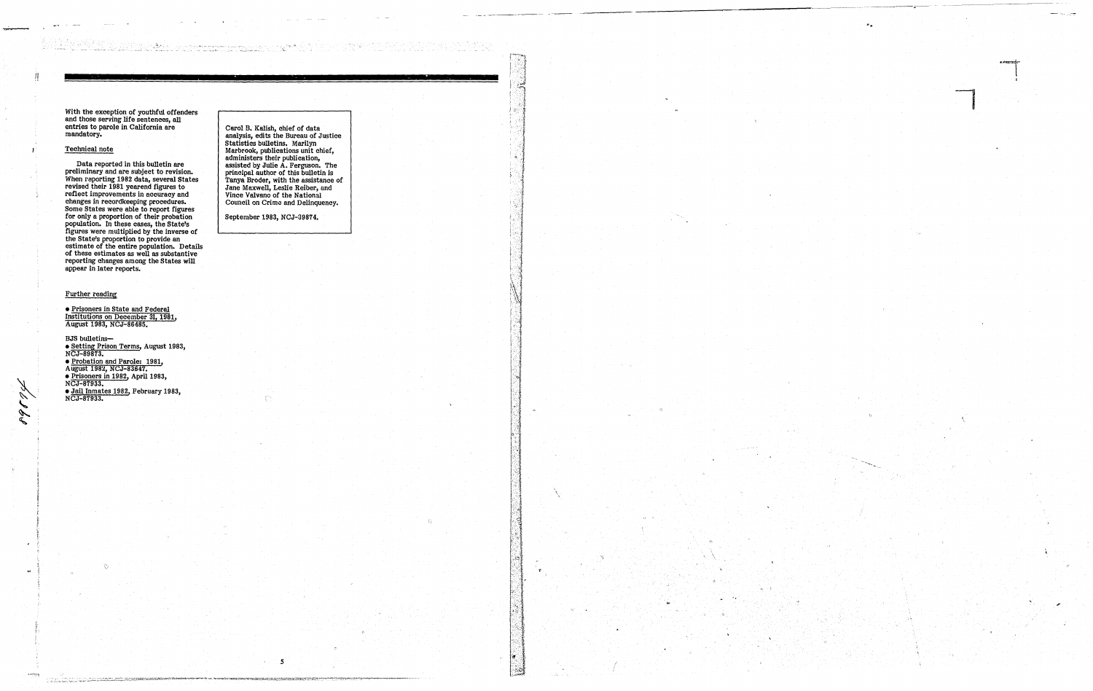With the exception of youthful offenders and those serving life sentences, all entries to parole in California are<br>mandatory.

ina ta 1971.<br>Shekara ta 1980 na katika Tanzania ya Kasa

; ~'

76284

#### Technical note

 $\mathbf{r}$ 

Data reported in this bulletin are preliminary and are subject to revision. When reporting 1982 data, several states revised their 1981 yearend figures to reflect improvements in accuracy and changes in recordkeeping procedures. Some States were able to report figures for only a proportion of their probation population. In these cases, the State's figures were multiplied by the inverse of the State's proportion to provide an estimate of the entire population. Details of these estimates as well as sUbstantive reporting changes among the States will appear in later reports.

BJS bulletins-• Setting Prison Terms, August 1983, NCJ-89873. • Probation and Parole: 1981, August 1982, NCJ-83647. • Prisoners in 1982, April 1983, NCJ-87933. • Jail Inmates 1982, February 1983, NCJ-87933.

#### Further reading

• Prisoners in State and Federal Institutions on December 31, 1981, August 1983, NCJ-86485.

'" "

obríkt megament

Carol B. Kalish, chief of data analysis, edits the Bureau of Justice Statistics bulletins. Marilyn Marbrook, publications unit chief, administers their publication, assisted by Julie A. Ferguson. The principal author of this bulletin is Tanya Broder, with the assistance of Jane Maxwell, Leslie Reiber, and Vince Valvano of the National Council on Crime and Delinquency.

September 1983, NCJ-39874.

5